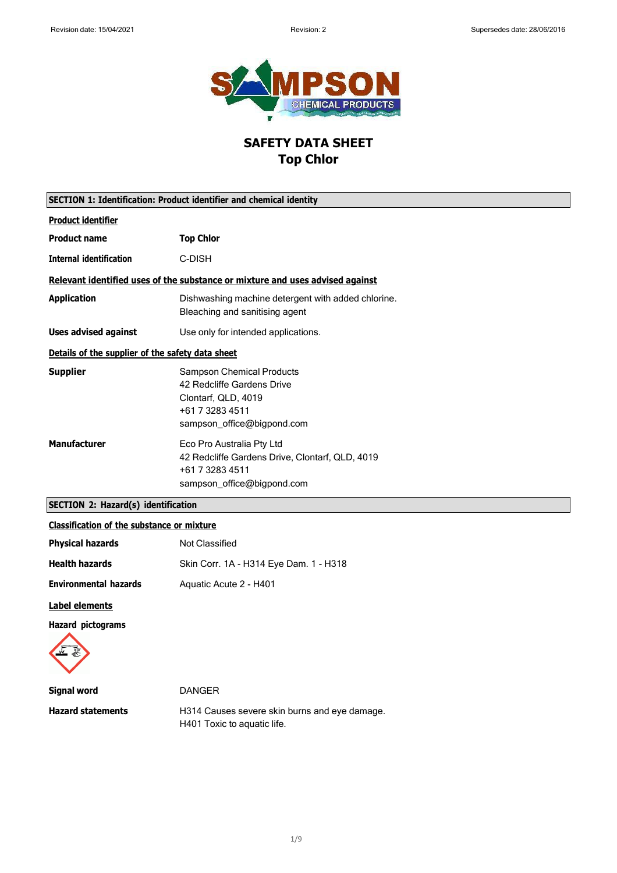

# **SAFETY DATA SHEET Top Chlor**

| SECTION 1: Identification: Product identifier and chemical identity |                                                                                                                                        |
|---------------------------------------------------------------------|----------------------------------------------------------------------------------------------------------------------------------------|
| <b>Product identifier</b>                                           |                                                                                                                                        |
| <b>Product name</b>                                                 | <b>Top Chlor</b>                                                                                                                       |
| <b>Internal identification</b>                                      | C-DISH                                                                                                                                 |
|                                                                     | Relevant identified uses of the substance or mixture and uses advised against                                                          |
| <b>Application</b>                                                  | Dishwashing machine detergent with added chlorine.<br>Bleaching and sanitising agent                                                   |
| <b>Uses advised against</b>                                         | Use only for intended applications.                                                                                                    |
| Details of the supplier of the safety data sheet                    |                                                                                                                                        |
| <b>Supplier</b>                                                     | <b>Sampson Chemical Products</b><br>42 Redcliffe Gardens Drive<br>Clontarf, QLD, 4019<br>+61 7 3283 4511<br>sampson office@bigpond.com |
| <b>Manufacturer</b>                                                 | Eco Pro Australia Pty Ltd<br>42 Redcliffe Gardens Drive, Clontarf, QLD, 4019<br>+61 7 3283 4511<br>sampson_office@bigpond.com          |

## **SECTION 2: Hazard(s) identification**

### **Classification of the substance or mixture**

| <b>Physical hazards</b>      | Not Classified                         |
|------------------------------|----------------------------------------|
| <b>Health hazards</b>        | Skin Corr. 1A - H314 Eye Dam. 1 - H318 |
| <b>Environmental hazards</b> | Aquatic Acute 2 - H401                 |
| Label elements               |                                        |

**Hazard pictograms**



| Signal word              | <b>DANGER</b>                                 |
|--------------------------|-----------------------------------------------|
| <b>Hazard statements</b> | H314 Causes severe skin burns and eye damage. |
|                          | H401 Toxic to aquatic life.                   |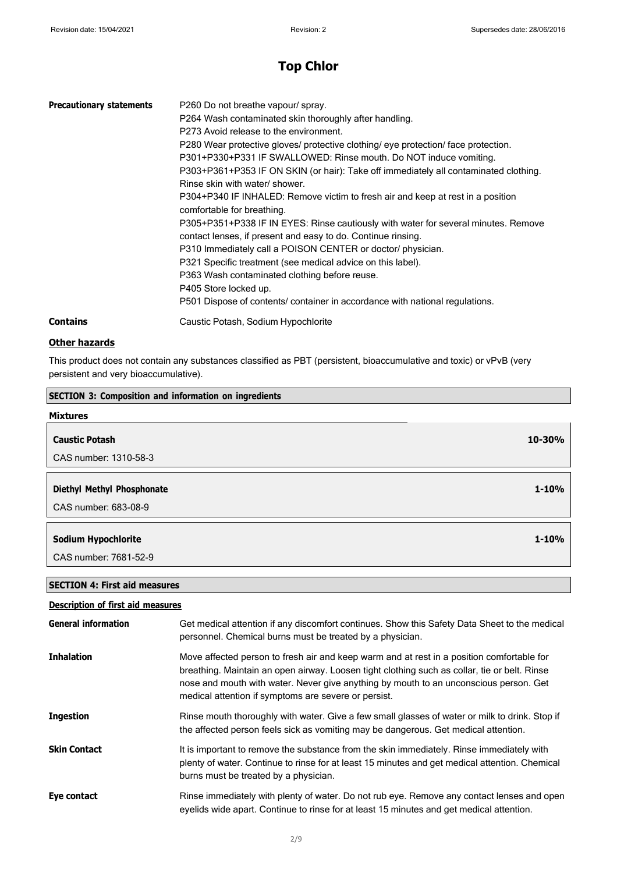| <b>Precautionary statements</b> | P260 Do not breathe vapour/ spray.<br>P264 Wash contaminated skin thoroughly after handling.<br>P273 Avoid release to the environment.<br>P280 Wear protective gloves/ protective clothing/ eye protection/ face protection.<br>P301+P330+P331 IF SWALLOWED: Rinse mouth. Do NOT induce vomiting.<br>P303+P361+P353 IF ON SKIN (or hair): Take off immediately all contaminated clothing.<br>Rinse skin with water/ shower.<br>P304+P340 IF INHALED: Remove victim to fresh air and keep at rest in a position<br>comfortable for breathing.<br>P305+P351+P338 IF IN EYES: Rinse cautiously with water for several minutes. Remove<br>contact lenses, if present and easy to do. Continue rinsing.<br>P310 Immediately call a POISON CENTER or doctor/ physician.<br>P321 Specific treatment (see medical advice on this label).<br>P363 Wash contaminated clothing before reuse.<br>P405 Store locked up.<br>P501 Dispose of contents/ container in accordance with national regulations. |
|---------------------------------|--------------------------------------------------------------------------------------------------------------------------------------------------------------------------------------------------------------------------------------------------------------------------------------------------------------------------------------------------------------------------------------------------------------------------------------------------------------------------------------------------------------------------------------------------------------------------------------------------------------------------------------------------------------------------------------------------------------------------------------------------------------------------------------------------------------------------------------------------------------------------------------------------------------------------------------------------------------------------------------------|
| <b>Contains</b>                 | Caustic Potash, Sodium Hypochlorite                                                                                                                                                                                                                                                                                                                                                                                                                                                                                                                                                                                                                                                                                                                                                                                                                                                                                                                                                        |

### **Other hazards**

This product does not contain any substances classified as PBT (persistent, bioaccumulative and toxic) or vPvB (very persistent and very bioaccumulative).

| <b>SECTION 3: Composition and information on ingredients</b> |           |
|--------------------------------------------------------------|-----------|
| <b>Mixtures</b>                                              |           |
| <b>Caustic Potash</b>                                        | 10-30%    |
| CAS number: 1310-58-3                                        |           |
| <b>Diethyl Methyl Phosphonate</b>                            | $1 - 10%$ |
| CAS number: 683-08-9                                         |           |
| <b>Sodium Hypochlorite</b>                                   | $1 - 10%$ |
| CAS number: 7681-52-9                                        |           |

### **SECTION 4: First aid measures**

| <b>Description of first aid measures</b> |  |  |
|------------------------------------------|--|--|
|                                          |  |  |

| <b>General information</b> | Get medical attention if any discomfort continues. Show this Safety Data Sheet to the medical<br>personnel. Chemical burns must be treated by a physician.                                                                                                                                                                                 |
|----------------------------|--------------------------------------------------------------------------------------------------------------------------------------------------------------------------------------------------------------------------------------------------------------------------------------------------------------------------------------------|
| <b>Inhalation</b>          | Move affected person to fresh air and keep warm and at rest in a position comfortable for<br>breathing. Maintain an open airway. Loosen tight clothing such as collar, tie or belt. Rinse<br>nose and mouth with water. Never give anything by mouth to an unconscious person. Get<br>medical attention if symptoms are severe or persist. |
| <b>Ingestion</b>           | Rinse mouth thoroughly with water. Give a few small glasses of water or milk to drink. Stop if<br>the affected person feels sick as vomiting may be dangerous. Get medical attention.                                                                                                                                                      |
| <b>Skin Contact</b>        | It is important to remove the substance from the skin immediately. Rinse immediately with<br>plenty of water. Continue to rinse for at least 15 minutes and get medical attention. Chemical<br>burns must be treated by a physician.                                                                                                       |
| Eye contact                | Rinse immediately with plenty of water. Do not rub eye. Remove any contact lenses and open<br>eyelids wide apart. Continue to rinse for at least 15 minutes and get medical attention.                                                                                                                                                     |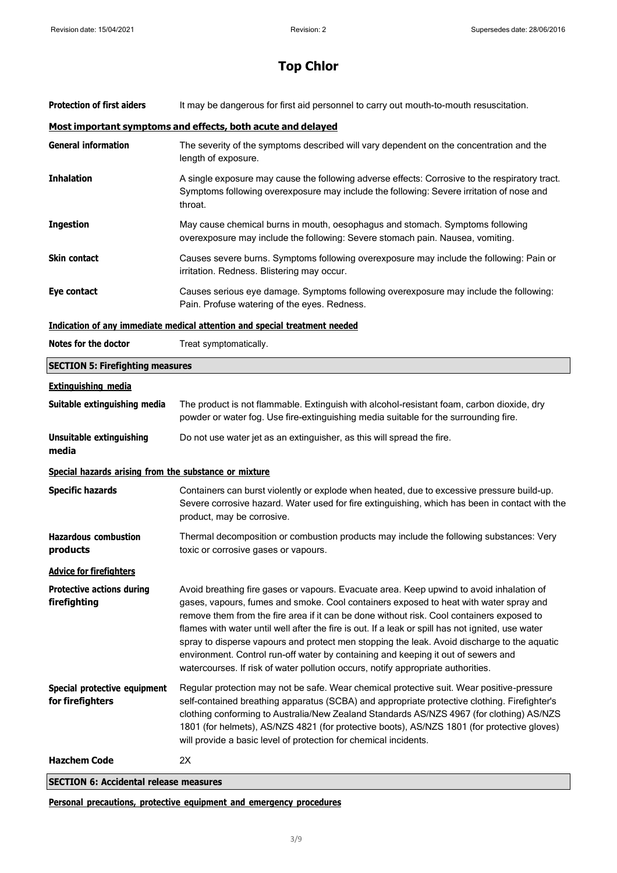| <b>Protection of first aiders</b>                     | It may be dangerous for first aid personnel to carry out mouth-to-mouth resuscitation.                                                                                                                                                                                                                                                                                                                                                                                                                                                                                                                                                                      |
|-------------------------------------------------------|-------------------------------------------------------------------------------------------------------------------------------------------------------------------------------------------------------------------------------------------------------------------------------------------------------------------------------------------------------------------------------------------------------------------------------------------------------------------------------------------------------------------------------------------------------------------------------------------------------------------------------------------------------------|
|                                                       | Most important symptoms and effects, both acute and delayed                                                                                                                                                                                                                                                                                                                                                                                                                                                                                                                                                                                                 |
| <b>General information</b>                            | The severity of the symptoms described will vary dependent on the concentration and the<br>length of exposure.                                                                                                                                                                                                                                                                                                                                                                                                                                                                                                                                              |
| Inhalation                                            | A single exposure may cause the following adverse effects: Corrosive to the respiratory tract.<br>Symptoms following overexposure may include the following: Severe irritation of nose and<br>throat.                                                                                                                                                                                                                                                                                                                                                                                                                                                       |
| <b>Ingestion</b>                                      | May cause chemical burns in mouth, oesophagus and stomach. Symptoms following<br>overexposure may include the following: Severe stomach pain. Nausea, vomiting.                                                                                                                                                                                                                                                                                                                                                                                                                                                                                             |
| Skin contact                                          | Causes severe burns. Symptoms following overexposure may include the following: Pain or<br>irritation. Redness. Blistering may occur.                                                                                                                                                                                                                                                                                                                                                                                                                                                                                                                       |
| Eye contact                                           | Causes serious eye damage. Symptoms following overexposure may include the following:<br>Pain. Profuse watering of the eyes. Redness.                                                                                                                                                                                                                                                                                                                                                                                                                                                                                                                       |
|                                                       | <b>Indication of any immediate medical attention and special treatment needed</b>                                                                                                                                                                                                                                                                                                                                                                                                                                                                                                                                                                           |
| <b>Notes for the doctor</b>                           | Treat symptomatically.                                                                                                                                                                                                                                                                                                                                                                                                                                                                                                                                                                                                                                      |
| <b>SECTION 5: Firefighting measures</b>               |                                                                                                                                                                                                                                                                                                                                                                                                                                                                                                                                                                                                                                                             |
| <b>Extinguishing media</b>                            |                                                                                                                                                                                                                                                                                                                                                                                                                                                                                                                                                                                                                                                             |
| Suitable extinguishing media                          | The product is not flammable. Extinguish with alcohol-resistant foam, carbon dioxide, dry<br>powder or water fog. Use fire-extinguishing media suitable for the surrounding fire.                                                                                                                                                                                                                                                                                                                                                                                                                                                                           |
| Unsuitable extinguishing<br>media                     | Do not use water jet as an extinguisher, as this will spread the fire.                                                                                                                                                                                                                                                                                                                                                                                                                                                                                                                                                                                      |
| Special hazards arising from the substance or mixture |                                                                                                                                                                                                                                                                                                                                                                                                                                                                                                                                                                                                                                                             |
| <b>Specific hazards</b>                               | Containers can burst violently or explode when heated, due to excessive pressure build-up.<br>Severe corrosive hazard. Water used for fire extinguishing, which has been in contact with the<br>product, may be corrosive.                                                                                                                                                                                                                                                                                                                                                                                                                                  |
| <b>Hazardous combustion</b><br>products               | Thermal decomposition or combustion products may include the following substances: Very<br>toxic or corrosive gases or vapours.                                                                                                                                                                                                                                                                                                                                                                                                                                                                                                                             |
| <b>Advice for firefighters</b>                        |                                                                                                                                                                                                                                                                                                                                                                                                                                                                                                                                                                                                                                                             |
| <b>Protective actions during</b><br>firefighting      | Avoid breathing fire gases or vapours. Evacuate area. Keep upwind to avoid inhalation of<br>gases, vapours, fumes and smoke. Cool containers exposed to heat with water spray and<br>remove them from the fire area if it can be done without risk. Cool containers exposed to<br>flames with water until well after the fire is out. If a leak or spill has not ignited, use water<br>spray to disperse vapours and protect men stopping the leak. Avoid discharge to the aquatic<br>environment. Control run-off water by containing and keeping it out of sewers and<br>watercourses. If risk of water pollution occurs, notify appropriate authorities. |
| Special protective equipment<br>for firefighters      | Regular protection may not be safe. Wear chemical protective suit. Wear positive-pressure<br>self-contained breathing apparatus (SCBA) and appropriate protective clothing. Firefighter's<br>clothing conforming to Australia/New Zealand Standards AS/NZS 4967 (for clothing) AS/NZS<br>1801 (for helmets), AS/NZS 4821 (for protective boots), AS/NZS 1801 (for protective gloves)<br>will provide a basic level of protection for chemical incidents.                                                                                                                                                                                                    |
| <b>Hazchem Code</b>                                   | 2X                                                                                                                                                                                                                                                                                                                                                                                                                                                                                                                                                                                                                                                          |

**SECTION 6: Accidental release measures**

**Personal precautions, protective equipment and emergency procedures**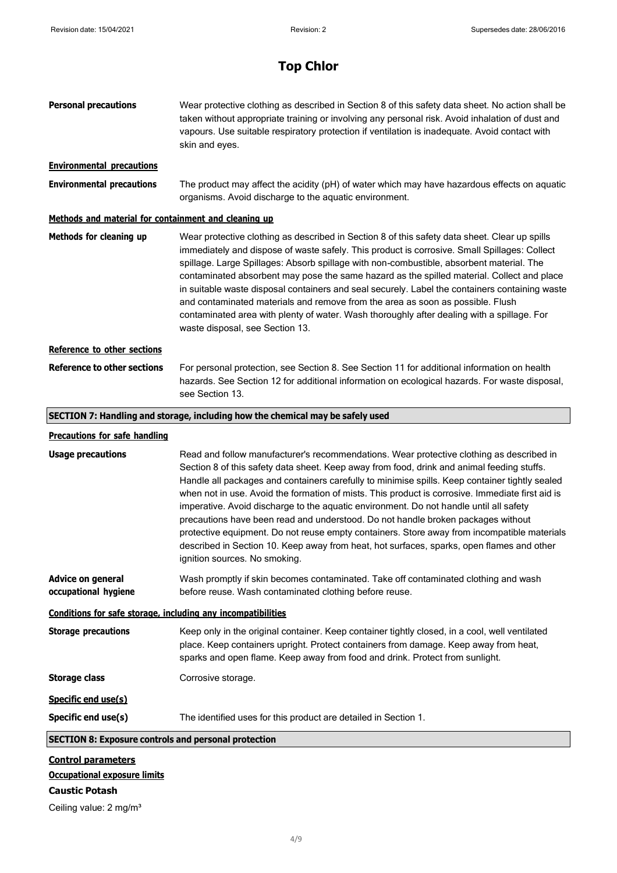| <b>Personal precautions</b>                                                                | Wear protective clothing as described in Section 8 of this safety data sheet. No action shall be<br>taken without appropriate training or involving any personal risk. Avoid inhalation of dust and<br>vapours. Use suitable respiratory protection if ventilation is inadequate. Avoid contact with<br>skin and eyes.                                                                                                                                                                                                                                                                                                                                                                                                                                                                                  |
|--------------------------------------------------------------------------------------------|---------------------------------------------------------------------------------------------------------------------------------------------------------------------------------------------------------------------------------------------------------------------------------------------------------------------------------------------------------------------------------------------------------------------------------------------------------------------------------------------------------------------------------------------------------------------------------------------------------------------------------------------------------------------------------------------------------------------------------------------------------------------------------------------------------|
| <b>Environmental precautions</b>                                                           |                                                                                                                                                                                                                                                                                                                                                                                                                                                                                                                                                                                                                                                                                                                                                                                                         |
| <b>Environmental precautions</b>                                                           | The product may affect the acidity (pH) of water which may have hazardous effects on aquatic<br>organisms. Avoid discharge to the aquatic environment.                                                                                                                                                                                                                                                                                                                                                                                                                                                                                                                                                                                                                                                  |
| Methods and material for containment and cleaning up                                       |                                                                                                                                                                                                                                                                                                                                                                                                                                                                                                                                                                                                                                                                                                                                                                                                         |
| Methods for cleaning up                                                                    | Wear protective clothing as described in Section 8 of this safety data sheet. Clear up spills<br>immediately and dispose of waste safely. This product is corrosive. Small Spillages: Collect<br>spillage. Large Spillages: Absorb spillage with non-combustible, absorbent material. The<br>contaminated absorbent may pose the same hazard as the spilled material. Collect and place<br>in suitable waste disposal containers and seal securely. Label the containers containing waste<br>and contaminated materials and remove from the area as soon as possible. Flush<br>contaminated area with plenty of water. Wash thoroughly after dealing with a spillage. For<br>waste disposal, see Section 13.                                                                                            |
| Reference to other sections                                                                |                                                                                                                                                                                                                                                                                                                                                                                                                                                                                                                                                                                                                                                                                                                                                                                                         |
| <b>Reference to other sections</b>                                                         | For personal protection, see Section 8. See Section 11 for additional information on health<br>hazards. See Section 12 for additional information on ecological hazards. For waste disposal,<br>see Section 13.                                                                                                                                                                                                                                                                                                                                                                                                                                                                                                                                                                                         |
|                                                                                            | SECTION 7: Handling and storage, including how the chemical may be safely used                                                                                                                                                                                                                                                                                                                                                                                                                                                                                                                                                                                                                                                                                                                          |
| <b>Precautions for safe handling</b>                                                       |                                                                                                                                                                                                                                                                                                                                                                                                                                                                                                                                                                                                                                                                                                                                                                                                         |
| <b>Usage precautions</b>                                                                   | Read and follow manufacturer's recommendations. Wear protective clothing as described in<br>Section 8 of this safety data sheet. Keep away from food, drink and animal feeding stuffs.<br>Handle all packages and containers carefully to minimise spills. Keep container tightly sealed<br>when not in use. Avoid the formation of mists. This product is corrosive. Immediate first aid is<br>imperative. Avoid discharge to the aquatic environment. Do not handle until all safety<br>precautions have been read and understood. Do not handle broken packages without<br>protective equipment. Do not reuse empty containers. Store away from incompatible materials<br>described in Section 10. Keep away from heat, hot surfaces, sparks, open flames and other<br>ignition sources. No smoking. |
| <b>Advice on general</b><br>occupational hygiene                                           | Wash promptly if skin becomes contaminated. Take off contaminated clothing and wash<br>before reuse. Wash contaminated clothing before reuse.                                                                                                                                                                                                                                                                                                                                                                                                                                                                                                                                                                                                                                                           |
|                                                                                            |                                                                                                                                                                                                                                                                                                                                                                                                                                                                                                                                                                                                                                                                                                                                                                                                         |
| Conditions for safe storage, including any incompatibilities<br><b>Storage precautions</b> | Keep only in the original container. Keep container tightly closed, in a cool, well ventilated<br>place. Keep containers upright. Protect containers from damage. Keep away from heat,<br>sparks and open flame. Keep away from food and drink. Protect from sunlight.                                                                                                                                                                                                                                                                                                                                                                                                                                                                                                                                  |
| <b>Storage class</b>                                                                       | Corrosive storage.                                                                                                                                                                                                                                                                                                                                                                                                                                                                                                                                                                                                                                                                                                                                                                                      |
| Specific end use(s)                                                                        |                                                                                                                                                                                                                                                                                                                                                                                                                                                                                                                                                                                                                                                                                                                                                                                                         |
| Specific end use(s)                                                                        | The identified uses for this product are detailed in Section 1.                                                                                                                                                                                                                                                                                                                                                                                                                                                                                                                                                                                                                                                                                                                                         |
| <b>SECTION 8: Exposure controls and personal protection</b>                                |                                                                                                                                                                                                                                                                                                                                                                                                                                                                                                                                                                                                                                                                                                                                                                                                         |
| <b>Control parameters</b><br><b>Occupational exposure limits</b><br><b>Caustic Potash</b>  |                                                                                                                                                                                                                                                                                                                                                                                                                                                                                                                                                                                                                                                                                                                                                                                                         |

Ceiling value: 2 mg/m<sup>3</sup>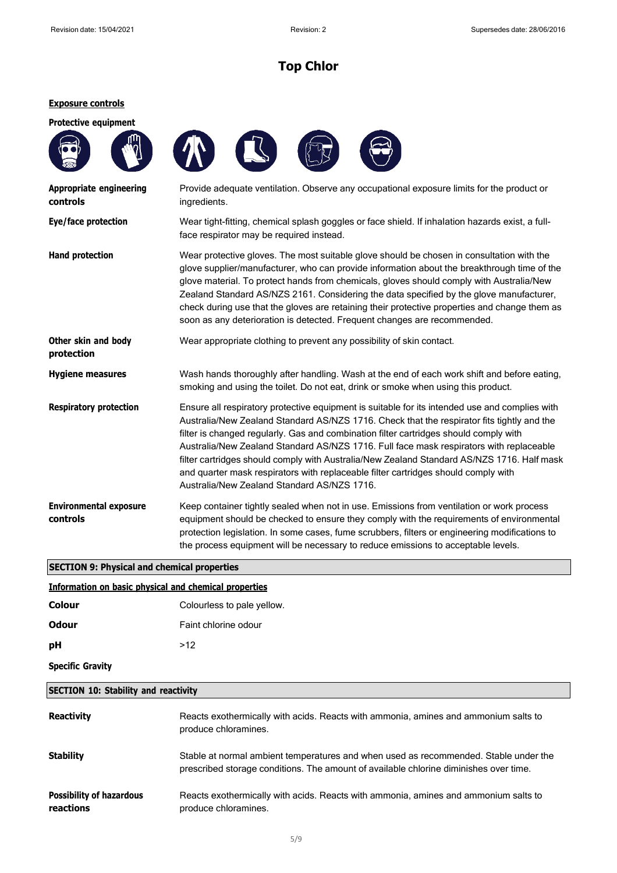#### **Exposure controls**



| Information on basic physical and chemical properties |                            |  |
|-------------------------------------------------------|----------------------------|--|
| Colour                                                | Colourless to pale yellow. |  |
| <b>Odour</b>                                          | Faint chlorine odour       |  |
| рH                                                    | >12                        |  |
| <b>Specific Gravity</b>                               |                            |  |

#### **SECTION 10: Stability and reactivity**

| <b>Reactivity</b>                            | Reacts exothermically with acids. Reacts with ammonia, amines and ammonium salts to<br>produce chloramines.                                                                   |
|----------------------------------------------|-------------------------------------------------------------------------------------------------------------------------------------------------------------------------------|
| <b>Stability</b>                             | Stable at normal ambient temperatures and when used as recommended. Stable under the<br>prescribed storage conditions. The amount of available chlorine diminishes over time. |
| <b>Possibility of hazardous</b><br>reactions | Reacts exothermically with acids. Reacts with ammonia, amines and ammonium salts to<br>produce chloramines.                                                                   |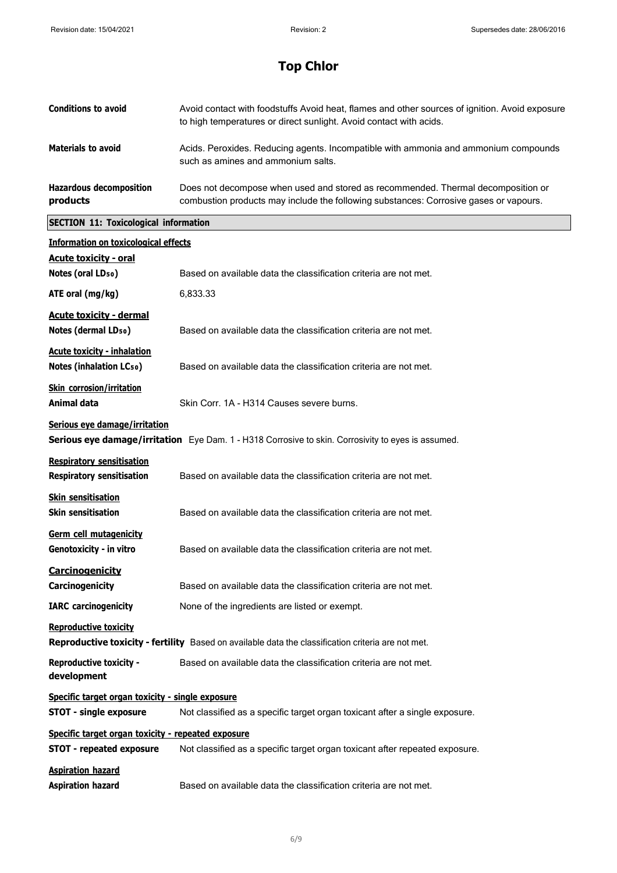| <b>Conditions to avoid</b>                 | Avoid contact with foodstuffs Avoid heat, flames and other sources of ignition. Avoid exposure<br>to high temperatures or direct sunlight. Avoid contact with acids.      |
|--------------------------------------------|---------------------------------------------------------------------------------------------------------------------------------------------------------------------------|
| <b>Materials to avoid</b>                  | Acids. Peroxides. Reducing agents. Incompatible with ammonia and ammonium compounds<br>such as amines and ammonium salts.                                                 |
| <b>Hazardous decomposition</b><br>products | Does not decompose when used and stored as recommended. Thermal decomposition or<br>combustion products may include the following substances: Corrosive gases or vapours. |
|                                            |                                                                                                                                                                           |

# **SECTION 11: Toxicological information**

| <b>Information on toxicological effects</b>                                                                                        |                                                                                                    |  |
|------------------------------------------------------------------------------------------------------------------------------------|----------------------------------------------------------------------------------------------------|--|
| <b>Acute toxicity - oral</b>                                                                                                       |                                                                                                    |  |
| Notes (oral LD <sub>50</sub> )                                                                                                     | Based on available data the classification criteria are not met.                                   |  |
| ATE oral (mg/kg)                                                                                                                   | 6,833.33                                                                                           |  |
| <b>Acute toxicity - dermal</b><br>Notes (dermal LD <sub>50</sub> )                                                                 | Based on available data the classification criteria are not met.                                   |  |
| <b>Acute toxicity - inhalation</b><br><b>Notes (inhalation LCso)</b>                                                               | Based on available data the classification criteria are not met.                                   |  |
| <b>Skin corrosion/irritation</b><br>Animal data                                                                                    | Skin Corr. 1A - H314 Causes severe burns.                                                          |  |
| Serious eye damage/irritation                                                                                                      | Serious eye damage/irritation Eye Dam. 1 - H318 Corrosive to skin. Corrosivity to eyes is assumed. |  |
| <b>Respiratory sensitisation</b><br><b>Respiratory sensitisation</b>                                                               | Based on available data the classification criteria are not met.                                   |  |
| <b>Skin sensitisation</b><br><b>Skin sensitisation</b>                                                                             | Based on available data the classification criteria are not met.                                   |  |
| Germ cell mutagenicity<br>Genotoxicity - in vitro                                                                                  | Based on available data the classification criteria are not met.                                   |  |
| <b>Carcinogenicity</b><br>Carcinogenicity                                                                                          | Based on available data the classification criteria are not met.                                   |  |
| <b>IARC</b> carcinogenicity                                                                                                        | None of the ingredients are listed or exempt.                                                      |  |
| <b>Reproductive toxicity</b><br>Reproductive toxicity - fertility Based on available data the classification criteria are not met. |                                                                                                    |  |
| <b>Reproductive toxicity -</b><br>development                                                                                      | Based on available data the classification criteria are not met.                                   |  |
| Specific target organ toxicity - single exposure                                                                                   |                                                                                                    |  |
| <b>STOT - single exposure</b>                                                                                                      | Not classified as a specific target organ toxicant after a single exposure.                        |  |
| Specific target organ toxicity - repeated exposure                                                                                 |                                                                                                    |  |
| <b>STOT - repeated exposure</b>                                                                                                    | Not classified as a specific target organ toxicant after repeated exposure.                        |  |
| <b>Aspiration hazard</b><br><b>Aspiration hazard</b>                                                                               | Based on available data the classification criteria are not met.                                   |  |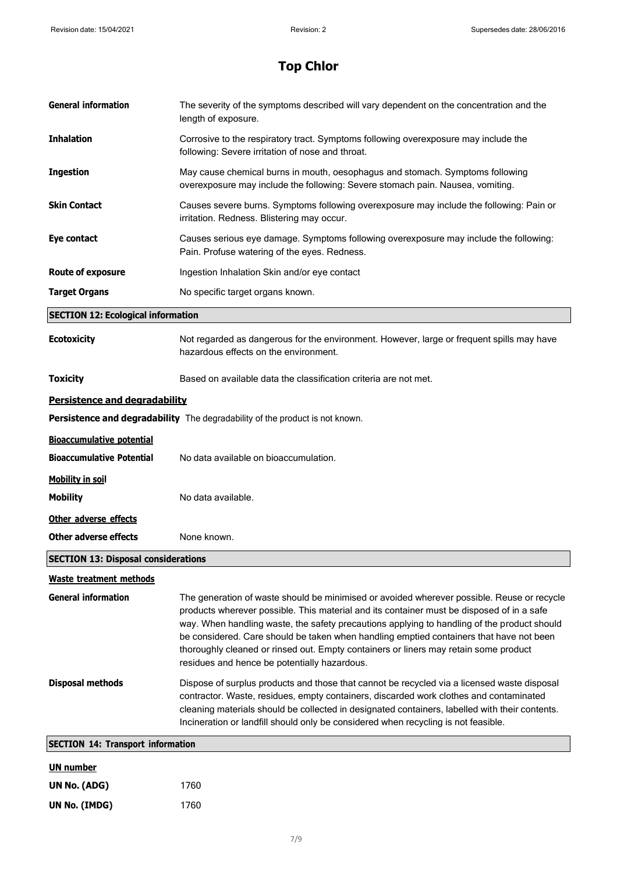| <b>General information</b>                 | The severity of the symptoms described will vary dependent on the concentration and the<br>length of exposure.                                                                                                                                                                                                                                                                                                                                                                                                            |  |
|--------------------------------------------|---------------------------------------------------------------------------------------------------------------------------------------------------------------------------------------------------------------------------------------------------------------------------------------------------------------------------------------------------------------------------------------------------------------------------------------------------------------------------------------------------------------------------|--|
| <b>Inhalation</b>                          | Corrosive to the respiratory tract. Symptoms following overexposure may include the<br>following: Severe irritation of nose and throat.                                                                                                                                                                                                                                                                                                                                                                                   |  |
| <b>Ingestion</b>                           | May cause chemical burns in mouth, oesophagus and stomach. Symptoms following<br>overexposure may include the following: Severe stomach pain. Nausea, vomiting.                                                                                                                                                                                                                                                                                                                                                           |  |
| <b>Skin Contact</b>                        | Causes severe burns. Symptoms following overexposure may include the following: Pain or<br>irritation. Redness. Blistering may occur.                                                                                                                                                                                                                                                                                                                                                                                     |  |
| Eye contact                                | Causes serious eye damage. Symptoms following overexposure may include the following:<br>Pain. Profuse watering of the eyes. Redness.                                                                                                                                                                                                                                                                                                                                                                                     |  |
| <b>Route of exposure</b>                   | Ingestion Inhalation Skin and/or eye contact                                                                                                                                                                                                                                                                                                                                                                                                                                                                              |  |
| <b>Target Organs</b>                       | No specific target organs known.                                                                                                                                                                                                                                                                                                                                                                                                                                                                                          |  |
| <b>SECTION 12: Ecological information</b>  |                                                                                                                                                                                                                                                                                                                                                                                                                                                                                                                           |  |
| <b>Ecotoxicity</b>                         | Not regarded as dangerous for the environment. However, large or frequent spills may have<br>hazardous effects on the environment.                                                                                                                                                                                                                                                                                                                                                                                        |  |
| <b>Toxicity</b>                            | Based on available data the classification criteria are not met.                                                                                                                                                                                                                                                                                                                                                                                                                                                          |  |
| Persistence and degradability              |                                                                                                                                                                                                                                                                                                                                                                                                                                                                                                                           |  |
|                                            | Persistence and degradability The degradability of the product is not known.                                                                                                                                                                                                                                                                                                                                                                                                                                              |  |
| <b>Bioaccumulative potential</b>           |                                                                                                                                                                                                                                                                                                                                                                                                                                                                                                                           |  |
| <b>Bioaccumulative Potential</b>           | No data available on bioaccumulation.                                                                                                                                                                                                                                                                                                                                                                                                                                                                                     |  |
| <b>Mobility in soil</b>                    |                                                                                                                                                                                                                                                                                                                                                                                                                                                                                                                           |  |
| <b>Mobility</b>                            | No data available.                                                                                                                                                                                                                                                                                                                                                                                                                                                                                                        |  |
| Other adverse effects                      |                                                                                                                                                                                                                                                                                                                                                                                                                                                                                                                           |  |
| <b>Other adverse effects</b>               | None known.                                                                                                                                                                                                                                                                                                                                                                                                                                                                                                               |  |
| <b>SECTION 13: Disposal considerations</b> |                                                                                                                                                                                                                                                                                                                                                                                                                                                                                                                           |  |
| <b>Waste treatment methods</b>             |                                                                                                                                                                                                                                                                                                                                                                                                                                                                                                                           |  |
| <b>General information</b>                 | The generation of waste should be minimised or avoided wherever possible. Reuse or recycle<br>products wherever possible. This material and its container must be disposed of in a safe<br>way. When handling waste, the safety precautions applying to handling of the product should<br>be considered. Care should be taken when handling emptied containers that have not been<br>thoroughly cleaned or rinsed out. Empty containers or liners may retain some product<br>residues and hence be potentially hazardous. |  |
| <b>Disposal methods</b>                    | Dispose of surplus products and those that cannot be recycled via a licensed waste disposal<br>contractor. Waste, residues, empty containers, discarded work clothes and contaminated<br>cleaning materials should be collected in designated containers, labelled with their contents.<br>Incineration or landfill should only be considered when recycling is not feasible.                                                                                                                                             |  |
| <b>SECTION 14: Transport information</b>   |                                                                                                                                                                                                                                                                                                                                                                                                                                                                                                                           |  |
| <b>UN number</b>                           |                                                                                                                                                                                                                                                                                                                                                                                                                                                                                                                           |  |
| UN No. (ADG)                               | 1760                                                                                                                                                                                                                                                                                                                                                                                                                                                                                                                      |  |
| UN No. (IMDG)                              | 1760                                                                                                                                                                                                                                                                                                                                                                                                                                                                                                                      |  |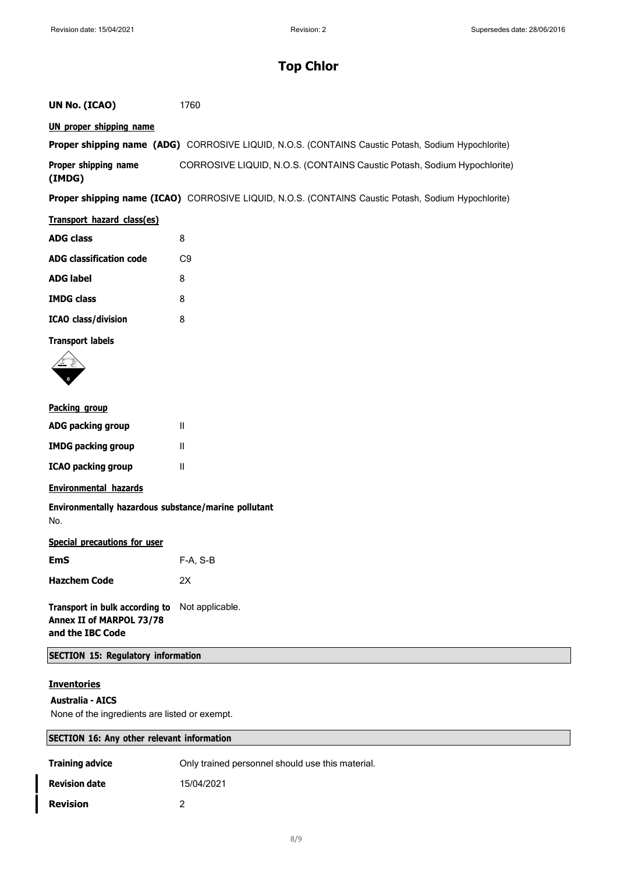### **UN No. (ICAO)** 1760

### **UN proper shipping name**

|                      | <b>Proper shipping name (ADG)</b> CORROSIVE LIQUID, N.O.S. (CONTAINS Caustic Potash, Sodium Hypochlorite) |
|----------------------|-----------------------------------------------------------------------------------------------------------|
| Proper shipping name | CORROSIVE LIQUID, N.O.S. (CONTAINS Caustic Potash, Sodium Hypochlorite)                                   |
| (IMDG)               |                                                                                                           |

**Proper shipping name (ICAO)** CORROSIVE LIQUID, N.O.S. (CONTAINS Caustic Potash, Sodium Hypochlorite)

| Transport hazard class(es)     |     |
|--------------------------------|-----|
| <b>ADG class</b>               | 8   |
| <b>ADG classification code</b> | C.9 |
| <b>ADG label</b>               | 8   |
| <b>IMDG class</b>              | 8   |
| <b>ICAO</b> class/division     | 8   |

#### **Transport labels**



#### **Packing group**

| <b>ADG packing group</b>  | Ш |
|---------------------------|---|
| <b>IMDG packing group</b> | Ш |
| <b>ICAO packing group</b> | Ш |

### **Environmental hazards**

**Environmentally hazardous substance/marine pollutant** No.

### **Special precautions for user**

| <b>EmS</b>          | $F-A, S-B$ |
|---------------------|------------|
| <b>Hazchem Code</b> | 2Х         |

**Transport in bulk according to** Not applicable. **Annex II of MARPOL 73/78 and the IBC Code**

### **SECTION 15: Regulatory information**

### **Inventories**

#### **Australia - AICS**

None of the ingredients are listed or exempt.

| <b>SECTION 16: Any other relevant information</b> |                                                  |  |
|---------------------------------------------------|--------------------------------------------------|--|
| <b>Training advice</b>                            | Only trained personnel should use this material. |  |
| <b>Revision date</b>                              | 15/04/2021                                       |  |
| <b>Revision</b>                                   |                                                  |  |